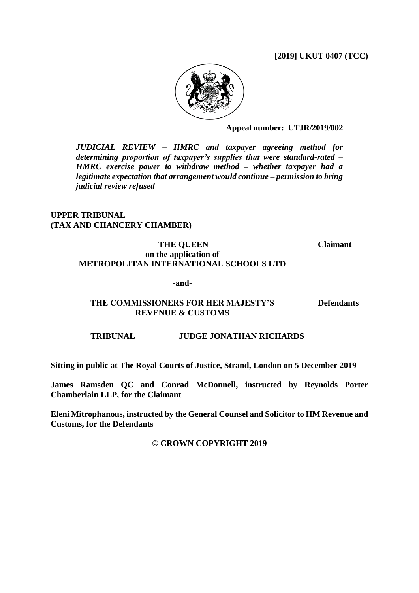### **[2019] UKUT 0407 (TCC)**



**Appeal number: UTJR/2019/002**

*JUDICIAL REVIEW – HMRC and taxpayer agreeing method for determining proportion of taxpayer's supplies that were standard-rated – HMRC exercise power to withdraw method – whether taxpayer had a legitimate expectation that arrangement would continue – permission to bring judicial review refused*

# **UPPER TRIBUNAL (TAX AND CHANCERY CHAMBER)**

### **THE QUEEN on the application of METROPOLITAN INTERNATIONAL SCHOOLS LTD**

**-and-**

# **THE COMMISSIONERS FOR HER MAJESTY'S REVENUE & CUSTOMS**

**Defendants**

**Claimant**

# **TRIBUNAL JUDGE JONATHAN RICHARDS**

**Sitting in public at The Royal Courts of Justice, Strand, London on 5 December 2019**

**James Ramsden QC and Conrad McDonnell, instructed by Reynolds Porter Chamberlain LLP, for the Claimant**

**Eleni Mitrophanous, instructed by the General Counsel and Solicitor to HM Revenue and Customs, for the Defendants**

**© CROWN COPYRIGHT 2019**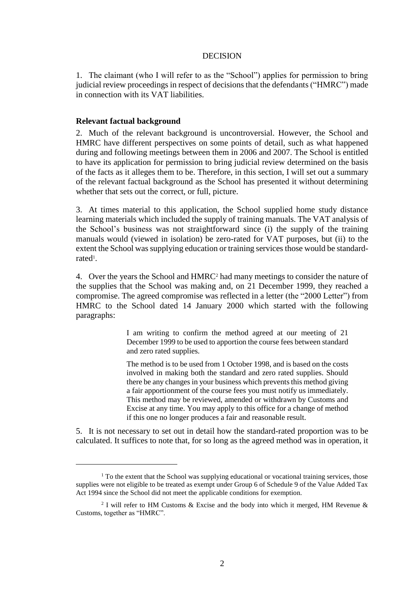### DECISION

1. The claimant (who I will refer to as the "School") applies for permission to bring judicial review proceedings in respect of decisions that the defendants ("HMRC") made in connection with its VAT liabilities.

### **Relevant factual background**

<u>.</u>

2. Much of the relevant background is uncontroversial. However, the School and HMRC have different perspectives on some points of detail, such as what happened during and following meetings between them in 2006 and 2007. The School is entitled to have its application for permission to bring judicial review determined on the basis of the facts as it alleges them to be. Therefore, in this section, I will set out a summary of the relevant factual background as the School has presented it without determining whether that sets out the correct, or full, picture.

3. At times material to this application, the School supplied home study distance learning materials which included the supply of training manuals. The VAT analysis of the School's business was not straightforward since (i) the supply of the training manuals would (viewed in isolation) be zero-rated for VAT purposes, but (ii) to the extent the School was supplying education or training services those would be standardrated<sup>1</sup>.

4. Over the years the School and HMRC<sup>2</sup> had many meetings to consider the nature of the supplies that the School was making and, on 21 December 1999, they reached a compromise. The agreed compromise was reflected in a letter (the "2000 Letter") from HMRC to the School dated 14 January 2000 which started with the following paragraphs:

> I am writing to confirm the method agreed at our meeting of 21 December 1999 to be used to apportion the course fees between standard and zero rated supplies.

> The method is to be used from 1 October 1998, and is based on the costs involved in making both the standard and zero rated supplies. Should there be any changes in your business which prevents this method giving a fair apportionment of the course fees you must notify us immediately. This method may be reviewed, amended or withdrawn by Customs and Excise at any time. You may apply to this office for a change of method if this one no longer produces a fair and reasonable result.

5. It is not necessary to set out in detail how the standard-rated proportion was to be calculated. It suffices to note that, for so long as the agreed method was in operation, it

<sup>&</sup>lt;sup>1</sup> To the extent that the School was supplying educational or vocational training services, those supplies were not eligible to be treated as exempt under Group 6 of Schedule 9 of the Value Added Tax Act 1994 since the School did not meet the applicable conditions for exemption.

<sup>&</sup>lt;sup>2</sup> I will refer to HM Customs & Excise and the body into which it merged, HM Revenue & Customs, together as "HMRC".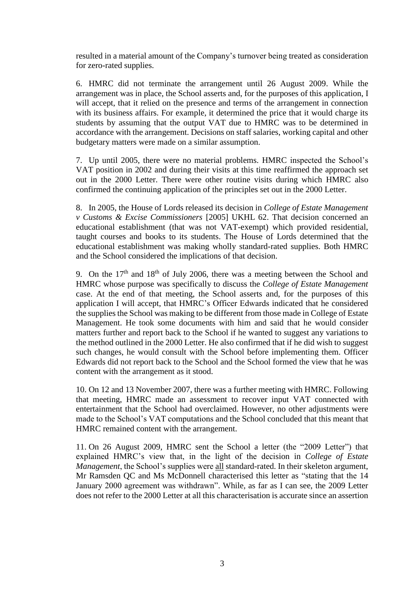resulted in a material amount of the Company's turnover being treated as consideration for zero-rated supplies.

6. HMRC did not terminate the arrangement until 26 August 2009. While the arrangement was in place, the School asserts and, for the purposes of this application, I will accept, that it relied on the presence and terms of the arrangement in connection with its business affairs. For example, it determined the price that it would charge its students by assuming that the output VAT due to HMRC was to be determined in accordance with the arrangement. Decisions on staff salaries, working capital and other budgetary matters were made on a similar assumption.

7. Up until 2005, there were no material problems. HMRC inspected the School's VAT position in 2002 and during their visits at this time reaffirmed the approach set out in the 2000 Letter. There were other routine visits during which HMRC also confirmed the continuing application of the principles set out in the 2000 Letter.

8. In 2005, the House of Lords released its decision in *College of Estate Management v Customs & Excise Commissioners* [2005] UKHL 62. That decision concerned an educational establishment (that was not VAT-exempt) which provided residential, taught courses and books to its students. The House of Lords determined that the educational establishment was making wholly standard-rated supplies. Both HMRC and the School considered the implications of that decision.

9. On the  $17<sup>th</sup>$  and  $18<sup>th</sup>$  of July 2006, there was a meeting between the School and HMRC whose purpose was specifically to discuss the *College of Estate Management* case. At the end of that meeting, the School asserts and, for the purposes of this application I will accept, that HMRC's Officer Edwards indicated that he considered the supplies the School was making to be different from those made in College of Estate Management. He took some documents with him and said that he would consider matters further and report back to the School if he wanted to suggest any variations to the method outlined in the 2000 Letter. He also confirmed that if he did wish to suggest such changes, he would consult with the School before implementing them. Officer Edwards did not report back to the School and the School formed the view that he was content with the arrangement as it stood.

10. On 12 and 13 November 2007, there was a further meeting with HMRC. Following that meeting, HMRC made an assessment to recover input VAT connected with entertainment that the School had overclaimed. However, no other adjustments were made to the School's VAT computations and the School concluded that this meant that HMRC remained content with the arrangement.

11. On 26 August 2009, HMRC sent the School a letter (the "2009 Letter") that explained HMRC's view that, in the light of the decision in *College of Estate Management*, the School's supplies were all standard-rated. In their skeleton argument, Mr Ramsden QC and Ms McDonnell characterised this letter as "stating that the 14 January 2000 agreement was withdrawn". While, as far as I can see, the 2009 Letter does not refer to the 2000 Letter at all this characterisation is accurate since an assertion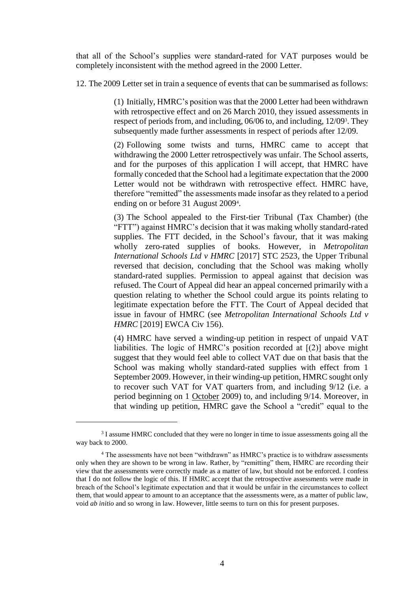that all of the School's supplies were standard-rated for VAT purposes would be completely inconsistent with the method agreed in the 2000 Letter.

12. The 2009 Letter set in train a sequence of events that can be summarised as follows:

(1) Initially, HMRC's position was that the 2000 Letter had been withdrawn with retrospective effect and on 26 March 2010, they issued assessments in respect of periods from, and including, 06/06 to, and including, 12/09<sup>3</sup> . They subsequently made further assessments in respect of periods after 12/09.

(2) Following some twists and turns, HMRC came to accept that withdrawing the 2000 Letter retrospectively was unfair. The School asserts, and for the purposes of this application I will accept, that HMRC have formally conceded that the School had a legitimate expectation that the 2000 Letter would not be withdrawn with retrospective effect. HMRC have, therefore "remitted" the assessments made insofar as they related to a period ending on or before 31 August 2009<sup>4</sup>.

(3) The School appealed to the First-tier Tribunal (Tax Chamber) (the "FTT") against HMRC's decision that it was making wholly standard-rated supplies. The FTT decided, in the School's favour, that it was making wholly zero-rated supplies of books. However, in *Metropolitan International Schools Ltd v HMRC* [2017] STC 2523, the Upper Tribunal reversed that decision, concluding that the School was making wholly standard-rated supplies. Permission to appeal against that decision was refused. The Court of Appeal did hear an appeal concerned primarily with a question relating to whether the School could argue its points relating to legitimate expectation before the FTT. The Court of Appeal decided that issue in favour of HMRC (see *Metropolitan International Schools Ltd v HMRC* [2019] EWCA Civ 156).

(4) HMRC have served a winding-up petition in respect of unpaid VAT liabilities. The logic of HMRC's position recorded at [(2)] above might suggest that they would feel able to collect VAT due on that basis that the School was making wholly standard-rated supplies with effect from 1 September 2009. However, in their winding-up petition, HMRC sought only to recover such VAT for VAT quarters from, and including 9/12 (i.e. a period beginning on 1 October 2009) to, and including 9/14. Moreover, in that winding up petition, HMRC gave the School a "credit" equal to the

<u>.</u>

<sup>&</sup>lt;sup>3</sup> I assume HMRC concluded that they were no longer in time to issue assessments going all the way back to 2000.

<sup>4</sup> The assessments have not been "withdrawn" as HMRC's practice is to withdraw assessments only when they are shown to be wrong in law. Rather, by "remitting" them, HMRC are recording their view that the assessments were correctly made as a matter of law, but should not be enforced. I confess that I do not follow the logic of this. If HMRC accept that the retrospective assessments were made in breach of the School's legitimate expectation and that it would be unfair in the circumstances to collect them, that would appear to amount to an acceptance that the assessments were, as a matter of public law, void *ab initio* and so wrong in law. However, little seems to turn on this for present purposes.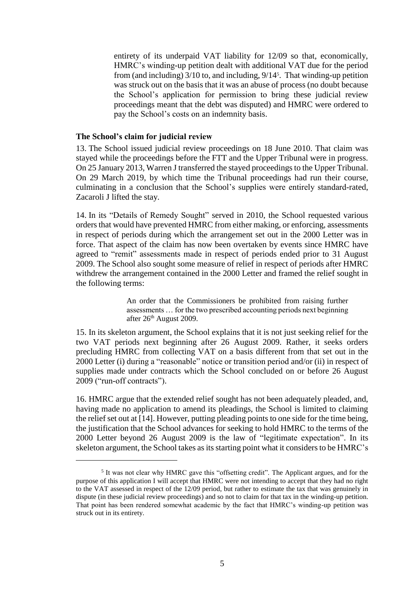entirety of its underpaid VAT liability for 12/09 so that, economically, HMRC's winding-up petition dealt with additional VAT due for the period from (and including) 3/10 to, and including, 9/14<sup>5</sup>. That winding-up petition was struck out on the basis that it was an abuse of process (no doubt because the School's application for permission to bring these judicial review proceedings meant that the debt was disputed) and HMRC were ordered to pay the School's costs on an indemnity basis.

### **The School's claim for judicial review**

1

13. The School issued judicial review proceedings on 18 June 2010. That claim was stayed while the proceedings before the FTT and the Upper Tribunal were in progress. On 25 January 2013, Warren J transferred the stayed proceedings to the Upper Tribunal. On 29 March 2019, by which time the Tribunal proceedings had run their course, culminating in a conclusion that the School's supplies were entirely standard-rated, Zacaroli J lifted the stay.

14. In its "Details of Remedy Sought" served in 2010, the School requested various orders that would have prevented HMRC from either making, or enforcing, assessments in respect of periods during which the arrangement set out in the 2000 Letter was in force. That aspect of the claim has now been overtaken by events since HMRC have agreed to "remit" assessments made in respect of periods ended prior to 31 August 2009. The School also sought some measure of relief in respect of periods after HMRC withdrew the arrangement contained in the 2000 Letter and framed the relief sought in the following terms:

> An order that the Commissioners be prohibited from raising further assessments … for the two prescribed accounting periods next beginning after 26<sup>th</sup> August 2009.

15. In its skeleton argument, the School explains that it is not just seeking relief for the two VAT periods next beginning after 26 August 2009. Rather, it seeks orders precluding HMRC from collecting VAT on a basis different from that set out in the 2000 Letter (i) during a "reasonable" notice or transition period and/or (ii) in respect of supplies made under contracts which the School concluded on or before 26 August 2009 ("run-off contracts").

16. HMRC argue that the extended relief sought has not been adequately pleaded, and, having made no application to amend its pleadings, the School is limited to claiming the relief set out at [14]. However, putting pleading points to one side for the time being, the justification that the School advances for seeking to hold HMRC to the terms of the 2000 Letter beyond 26 August 2009 is the law of "legitimate expectation". In its skeleton argument, the School takes as its starting point what it considers to be HMRC's

<sup>&</sup>lt;sup>5</sup> It was not clear why HMRC gave this "offsetting credit". The Applicant argues, and for the purpose of this application I will accept that HMRC were not intending to accept that they had no right to the VAT assessed in respect of the 12/09 period, but rather to estimate the tax that was genuinely in dispute (in these judicial review proceedings) and so not to claim for that tax in the winding-up petition. That point has been rendered somewhat academic by the fact that HMRC's winding-up petition was struck out in its entirety.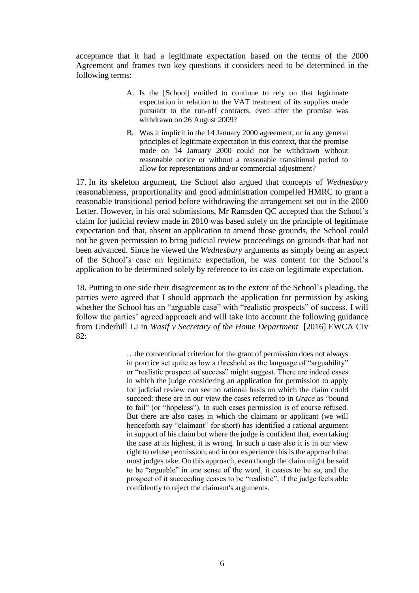acceptance that it had a legitimate expectation based on the terms of the 2000 Agreement and frames two key questions it considers need to be determined in the following terms:

- A. Is the [School] entitled to continue to rely on that legitimate expectation in relation to the VAT treatment of its supplies made pursuant to the run-off contracts, even after the promise was withdrawn on 26 August 2009?
- B. Was it implicit in the 14 January 2000 agreement, or in any general principles of legitimate expectation in this context, that the promise made on 14 January 2000 could not be withdrawn without reasonable notice or without a reasonable transitional period to allow for representations and/or commercial adjustment?

17. In its skeleton argument, the School also argued that concepts of *Wednesbury* reasonableness, proportionality and good administration compelled HMRC to grant a reasonable transitional period before withdrawing the arrangement set out in the 2000 Letter. However, in his oral submissions, Mr Ramsden QC accepted that the School's claim for judicial review made in 2010 was based solely on the principle of legitimate expectation and that, absent an application to amend those grounds, the School could not be given permission to bring judicial review proceedings on grounds that had not been advanced. Since he viewed the *Wednesbury* arguments as simply being an aspect of the School's case on legitimate expectation, he was content for the School's application to be determined solely by reference to its case on legitimate expectation.

18. Putting to one side their disagreement as to the extent of the School's pleading, the parties were agreed that I should approach the application for permission by asking whether the School has an "arguable case" with "realistic prospects" of success. I will follow the parties' agreed approach and will take into account the following guidance from Underhill LJ in *Wasif v Secretary of the Home Department* [2016] EWCA Civ 82:

> …the conventional criterion for the grant of permission does not always in practice set quite as low a threshold as the language of "arguability" or "realistic prospect of success" might suggest. There are indeed cases in which the judge considering an application for permission to apply for judicial review can see no rational basis on which the claim could succeed: these are in our view the cases referred to in *Grace* as "bound to fail" (or "hopeless"). In such cases permission is of course refused. But there are also cases in which the claimant or applicant (we will henceforth say "claimant" for short) has identified a rational argument in support of his claim but where the judge is confident that, even taking the case at its highest, it is wrong. In such a case also it is in our view right to refuse permission; and in our experience this is the approach that most judges take. On this approach, even though the claim might be said to be "arguable" in one sense of the word, it ceases to be so, and the prospect of it succeeding ceases to be "realistic", if the judge feels able confidently to reject the claimant's arguments.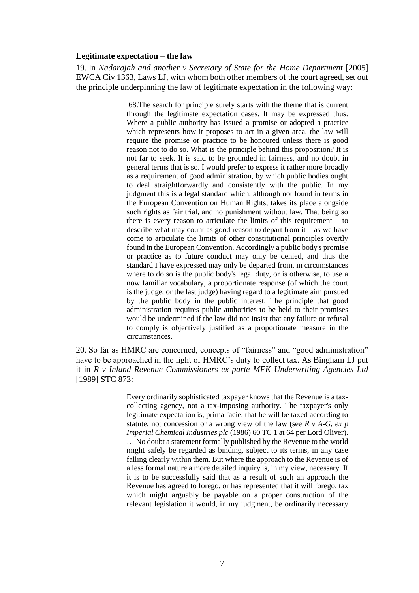#### **Legitimate expectation – the law**

19. In *Nadarajah and another v Secretary of State for the Home Departmen*t [2005] EWCA Civ 1363, Laws LJ, with whom both other members of the court agreed, set out the principle underpinning the law of legitimate expectation in the following way:

> 68.The search for principle surely starts with the theme that is current through the legitimate expectation cases. It may be expressed thus. Where a public authority has issued a promise or adopted a practice which represents how it proposes to act in a given area, the law will require the promise or practice to be honoured unless there is good reason not to do so. What is the principle behind this proposition? It is not far to seek. It is said to be grounded in fairness, and no doubt in general terms that is so. I would prefer to express it rather more broadly as a requirement of good administration, by which public bodies ought to deal straightforwardly and consistently with the public. In my judgment this is a legal standard which, although not found in terms in the European Convention on Human Rights, takes its place alongside such rights as fair trial, and no punishment without law. That being so there is every reason to articulate the limits of this requirement – to describe what may count as good reason to depart from it – as we have come to articulate the limits of other constitutional principles overtly found in the European Convention. Accordingly a public body's promise or practice as to future conduct may only be denied, and thus the standard I have expressed may only be departed from, in circumstances where to do so is the public body's legal duty, or is otherwise, to use a now familiar vocabulary, a proportionate response (of which the court is the judge, or the last judge) having regard to a legitimate aim pursued by the public body in the public interest. The principle that good administration requires public authorities to be held to their promises would be undermined if the law did not insist that any failure or refusal to comply is objectively justified as a proportionate measure in the circumstances.

20. So far as HMRC are concerned, concepts of "fairness" and "good administration" have to be approached in the light of HMRC's duty to collect tax. As Bingham LJ put it in *R v Inland Revenue Commissioners ex parte MFK Underwriting Agencies Ltd* [1989] STC 873:

> Every ordinarily sophisticated taxpayer knows that the Revenue is a taxcollecting agency, not a tax-imposing authority. The taxpayer's only legitimate expectation is, prima facie, that he will be taxed according to statute, not concession or a wrong view of the law (see *R v A-G, ex p Imperial Chemical Industries plc* (1986) 60 TC 1 at 64 per Lord Oliver). … No doubt a statement formally published by the Revenue to the world might safely be regarded as binding, subject to its terms, in any case falling clearly within them. But where the approach to the Revenue is of a less formal nature a more detailed inquiry is, in my view, necessary. If it is to be successfully said that as a result of such an approach the Revenue has agreed to forego, or has represented that it will forego, tax which might arguably be payable on a proper construction of the relevant legislation it would, in my judgment, be ordinarily necessary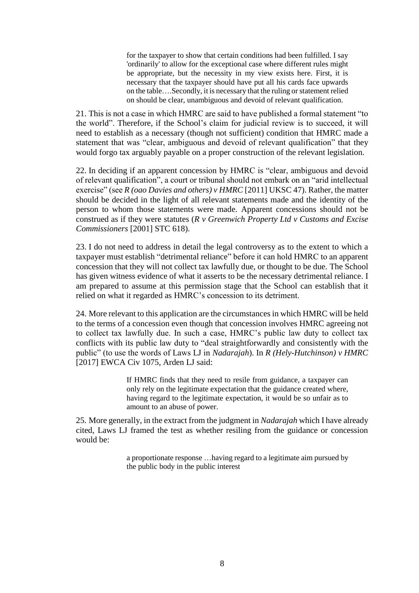for the taxpayer to show that certain conditions had been fulfilled. I say 'ordinarily' to allow for the exceptional case where different rules might be appropriate, but the necessity in my view exists here. First, it is necessary that the taxpayer should have put all his cards face upwards on the table….Secondly, it is necessary that the ruling or statement relied on should be clear, unambiguous and devoid of relevant qualification.

21. This is not a case in which HMRC are said to have published a formal statement "to the world". Therefore, if the School's claim for judicial review is to succeed, it will need to establish as a necessary (though not sufficient) condition that HMRC made a statement that was "clear, ambiguous and devoid of relevant qualification" that they would forgo tax arguably payable on a proper construction of the relevant legislation.

22. In deciding if an apparent concession by HMRC is "clear, ambiguous and devoid of relevant qualification", a court or tribunal should not embark on an "arid intellectual exercise" (see *R (oao Davies and others) v HMRC* [2011] UKSC 47). Rather, the matter should be decided in the light of all relevant statements made and the identity of the person to whom those statements were made. Apparent concessions should not be construed as if they were statutes (*R v Greenwich Property Ltd v Customs and Excise Commissioners* [2001] STC 618).

23. I do not need to address in detail the legal controversy as to the extent to which a taxpayer must establish "detrimental reliance" before it can hold HMRC to an apparent concession that they will not collect tax lawfully due, or thought to be due. The School has given witness evidence of what it asserts to be the necessary detrimental reliance. I am prepared to assume at this permission stage that the School can establish that it relied on what it regarded as HMRC's concession to its detriment.

24. More relevant to this application are the circumstances in which HMRC will be held to the terms of a concession even though that concession involves HMRC agreeing not to collect tax lawfully due. In such a case, HMRC's public law duty to collect tax conflicts with its public law duty to "deal straightforwardly and consistently with the public" (to use the words of Laws LJ in *Nadarajah*). In *R (Hely-Hutchinson) v HMRC* [2017] EWCA Civ 1075, Arden LJ said:

> If HMRC finds that they need to resile from guidance, a taxpayer can only rely on the legitimate expectation that the guidance created where, having regard to the legitimate expectation, it would be so unfair as to amount to an abuse of power.

25. More generally, in the extract from the judgment in *Nadarajah* which I have already cited, Laws LJ framed the test as whether resiling from the guidance or concession would be:

> a proportionate response …having regard to a legitimate aim pursued by the public body in the public interest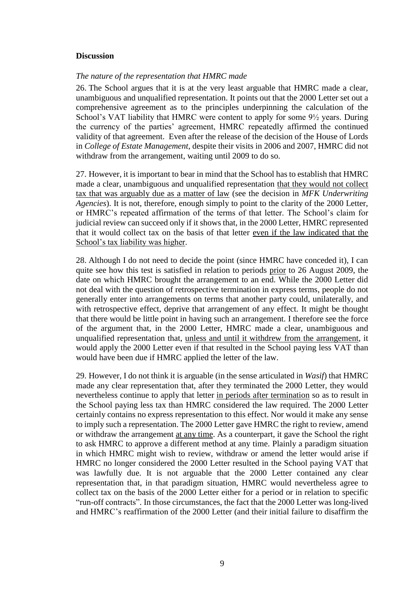### **Discussion**

### *The nature of the representation that HMRC made*

26. The School argues that it is at the very least arguable that HMRC made a clear, unambiguous and unqualified representation. It points out that the 2000 Letter set out a comprehensive agreement as to the principles underpinning the calculation of the School's VAT liability that HMRC were content to apply for some 9½ years. During the currency of the parties' agreement, HMRC repeatedly affirmed the continued validity of that agreement. Even after the release of the decision of the House of Lords in *College of Estate Management*, despite their visits in 2006 and 2007, HMRC did not withdraw from the arrangement, waiting until 2009 to do so.

27. However, it is important to bear in mind that the School has to establish that HMRC made a clear, unambiguous and unqualified representation that they would not collect tax that was arguably due as a matter of law (see the decision in *MFK Underwriting Agencies*). It is not, therefore, enough simply to point to the clarity of the 2000 Letter, or HMRC's repeated affirmation of the terms of that letter. The School's claim for judicial review can succeed only if it shows that, in the 2000 Letter, HMRC represented that it would collect tax on the basis of that letter even if the law indicated that the School's tax liability was higher.

28. Although I do not need to decide the point (since HMRC have conceded it), I can quite see how this test is satisfied in relation to periods prior to 26 August 2009, the date on which HMRC brought the arrangement to an end. While the 2000 Letter did not deal with the question of retrospective termination in express terms, people do not generally enter into arrangements on terms that another party could, unilaterally, and with retrospective effect, deprive that arrangement of any effect. It might be thought that there would be little point in having such an arrangement. I therefore see the force of the argument that, in the 2000 Letter, HMRC made a clear, unambiguous and unqualified representation that, unless and until it withdrew from the arrangement, it would apply the 2000 Letter even if that resulted in the School paying less VAT than would have been due if HMRC applied the letter of the law.

29. However, I do not think it is arguable (in the sense articulated in *Wasif*) that HMRC made any clear representation that, after they terminated the 2000 Letter, they would nevertheless continue to apply that letter in periods after termination so as to result in the School paying less tax than HMRC considered the law required. The 2000 Letter certainly contains no express representation to this effect. Nor would it make any sense to imply such a representation. The 2000 Letter gave HMRC the right to review, amend or withdraw the arrangement at any time. As a counterpart, it gave the School the right to ask HMRC to approve a different method at any time. Plainly a paradigm situation in which HMRC might wish to review, withdraw or amend the letter would arise if HMRC no longer considered the 2000 Letter resulted in the School paying VAT that was lawfully due. It is not arguable that the 2000 Letter contained any clear representation that, in that paradigm situation, HMRC would nevertheless agree to collect tax on the basis of the 2000 Letter either for a period or in relation to specific "run-off contracts". In those circumstances, the fact that the 2000 Letter was long-lived and HMRC's reaffirmation of the 2000 Letter (and their initial failure to disaffirm the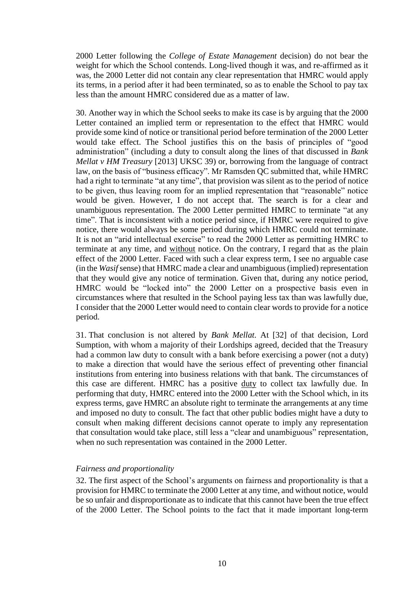2000 Letter following the *College of Estate Management* decision) do not bear the weight for which the School contends. Long-lived though it was, and re-affirmed as it was, the 2000 Letter did not contain any clear representation that HMRC would apply its terms, in a period after it had been terminated, so as to enable the School to pay tax less than the amount HMRC considered due as a matter of law.

30. Another way in which the School seeks to make its case is by arguing that the 2000 Letter contained an implied term or representation to the effect that HMRC would provide some kind of notice or transitional period before termination of the 2000 Letter would take effect. The School justifies this on the basis of principles of "good administration" (including a duty to consult along the lines of that discussed in *Bank Mellat v HM Treasury* [2013] UKSC 39) or, borrowing from the language of contract law, on the basis of "business efficacy". Mr Ramsden QC submitted that, while HMRC had a right to terminate "at any time", that provision was silent as to the period of notice to be given, thus leaving room for an implied representation that "reasonable" notice would be given. However, I do not accept that. The search is for a clear and unambiguous representation. The 2000 Letter permitted HMRC to terminate "at any time". That is inconsistent with a notice period since, if HMRC were required to give notice, there would always be some period during which HMRC could not terminate. It is not an "arid intellectual exercise" to read the 2000 Letter as permitting HMRC to terminate at any time, and without notice. On the contrary, I regard that as the plain effect of the 2000 Letter. Faced with such a clear express term, I see no arguable case (in the *Wasif* sense) that HMRC made a clear and unambiguous (implied) representation that they would give any notice of termination. Given that, during any notice period, HMRC would be "locked into" the 2000 Letter on a prospective basis even in circumstances where that resulted in the School paying less tax than was lawfully due, I consider that the 2000 Letter would need to contain clear words to provide for a notice period.

31. That conclusion is not altered by *Bank Mellat.* At [32] of that decision, Lord Sumption, with whom a majority of their Lordships agreed, decided that the Treasury had a common law duty to consult with a bank before exercising a power (not a duty) to make a direction that would have the serious effect of preventing other financial institutions from entering into business relations with that bank. The circumstances of this case are different. HMRC has a positive duty to collect tax lawfully due. In performing that duty, HMRC entered into the 2000 Letter with the School which, in its express terms, gave HMRC an absolute right to terminate the arrangements at any time and imposed no duty to consult. The fact that other public bodies might have a duty to consult when making different decisions cannot operate to imply any representation that consultation would take place, still less a "clear and unambiguous" representation, when no such representation was contained in the 2000 Letter.

# *Fairness and proportionality*

32. The first aspect of the School's arguments on fairness and proportionality is that a provision for HMRC to terminate the 2000 Letter at any time, and without notice, would be so unfair and disproportionate as to indicate that this cannot have been the true effect of the 2000 Letter. The School points to the fact that it made important long-term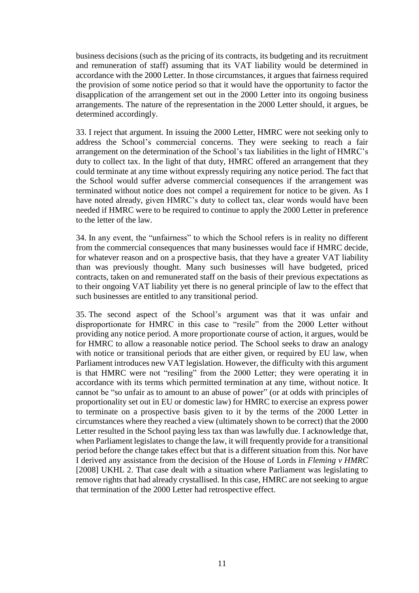business decisions (such as the pricing of its contracts, its budgeting and its recruitment and remuneration of staff) assuming that its VAT liability would be determined in accordance with the 2000 Letter. In those circumstances, it argues that fairness required the provision of some notice period so that it would have the opportunity to factor the disapplication of the arrangement set out in the 2000 Letter into its ongoing business arrangements. The nature of the representation in the 2000 Letter should, it argues, be determined accordingly.

33. I reject that argument. In issuing the 2000 Letter, HMRC were not seeking only to address the School's commercial concerns. They were seeking to reach a fair arrangement on the determination of the School's tax liabilities in the light of HMRC's duty to collect tax. In the light of that duty, HMRC offered an arrangement that they could terminate at any time without expressly requiring any notice period. The fact that the School would suffer adverse commercial consequences if the arrangement was terminated without notice does not compel a requirement for notice to be given. As I have noted already, given HMRC's duty to collect tax, clear words would have been needed if HMRC were to be required to continue to apply the 2000 Letter in preference to the letter of the law.

34. In any event, the "unfairness" to which the School refers is in reality no different from the commercial consequences that many businesses would face if HMRC decide, for whatever reason and on a prospective basis, that they have a greater VAT liability than was previously thought. Many such businesses will have budgeted, priced contracts, taken on and remunerated staff on the basis of their previous expectations as to their ongoing VAT liability yet there is no general principle of law to the effect that such businesses are entitled to any transitional period.

35. The second aspect of the School's argument was that it was unfair and disproportionate for HMRC in this case to "resile" from the 2000 Letter without providing any notice period. A more proportionate course of action, it argues, would be for HMRC to allow a reasonable notice period. The School seeks to draw an analogy with notice or transitional periods that are either given, or required by EU law, when Parliament introduces new VAT legislation. However, the difficulty with this argument is that HMRC were not "resiling" from the 2000 Letter; they were operating it in accordance with its terms which permitted termination at any time, without notice. It cannot be "so unfair as to amount to an abuse of power" (or at odds with principles of proportionality set out in EU or domestic law) for HMRC to exercise an express power to terminate on a prospective basis given to it by the terms of the 2000 Letter in circumstances where they reached a view (ultimately shown to be correct) that the 2000 Letter resulted in the School paying less tax than was lawfully due. I acknowledge that, when Parliament legislates to change the law, it will frequently provide for a transitional period before the change takes effect but that is a different situation from this. Nor have I derived any assistance from the decision of the House of Lords in *Fleming v HMRC* [2008] UKHL 2. That case dealt with a situation where Parliament was legislating to remove rights that had already crystallised. In this case, HMRC are not seeking to argue that termination of the 2000 Letter had retrospective effect.